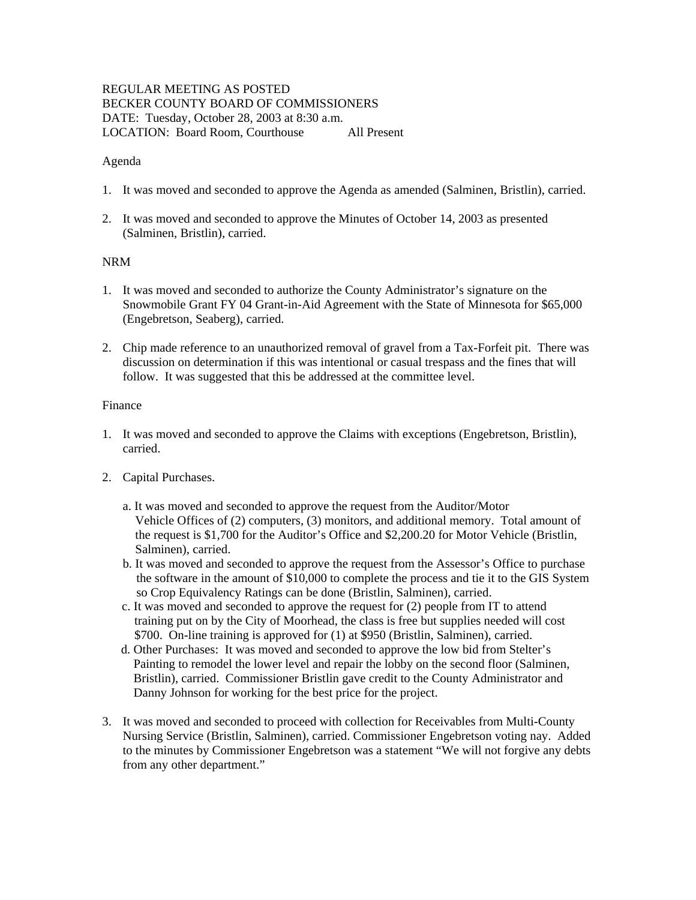# REGULAR MEETING AS POSTED BECKER COUNTY BOARD OF COMMISSIONERS DATE: Tuesday, October 28, 2003 at 8:30 a.m. LOCATION: Board Room, Courthouse All Present

### Agenda

- 1. It was moved and seconded to approve the Agenda as amended (Salminen, Bristlin), carried.
- 2. It was moved and seconded to approve the Minutes of October 14, 2003 as presented (Salminen, Bristlin), carried.

## NRM

- 1. It was moved and seconded to authorize the County Administrator's signature on the Snowmobile Grant FY 04 Grant-in-Aid Agreement with the State of Minnesota for \$65,000 (Engebretson, Seaberg), carried.
- 2. Chip made reference to an unauthorized removal of gravel from a Tax-Forfeit pit. There was discussion on determination if this was intentional or casual trespass and the fines that will follow. It was suggested that this be addressed at the committee level.

## Finance

- 1. It was moved and seconded to approve the Claims with exceptions (Engebretson, Bristlin), carried.
- 2. Capital Purchases.
	- a. It was moved and seconded to approve the request from the Auditor/Motor Vehicle Offices of (2) computers, (3) monitors, and additional memory. Total amount of the request is \$1,700 for the Auditor's Office and \$2,200.20 for Motor Vehicle (Bristlin, Salminen), carried.
	- b. It was moved and seconded to approve the request from the Assessor's Office to purchase the software in the amount of \$10,000 to complete the process and tie it to the GIS System so Crop Equivalency Ratings can be done (Bristlin, Salminen), carried.
	- c. It was moved and seconded to approve the request for (2) people from IT to attend training put on by the City of Moorhead, the class is free but supplies needed will cost \$700. On-line training is approved for (1) at \$950 (Bristlin, Salminen), carried.
	- d. Other Purchases: It was moved and seconded to approve the low bid from Stelter's Painting to remodel the lower level and repair the lobby on the second floor (Salminen, Bristlin), carried. Commissioner Bristlin gave credit to the County Administrator and Danny Johnson for working for the best price for the project.
- 3. It was moved and seconded to proceed with collection for Receivables from Multi-County Nursing Service (Bristlin, Salminen), carried. Commissioner Engebretson voting nay. Added to the minutes by Commissioner Engebretson was a statement "We will not forgive any debts from any other department."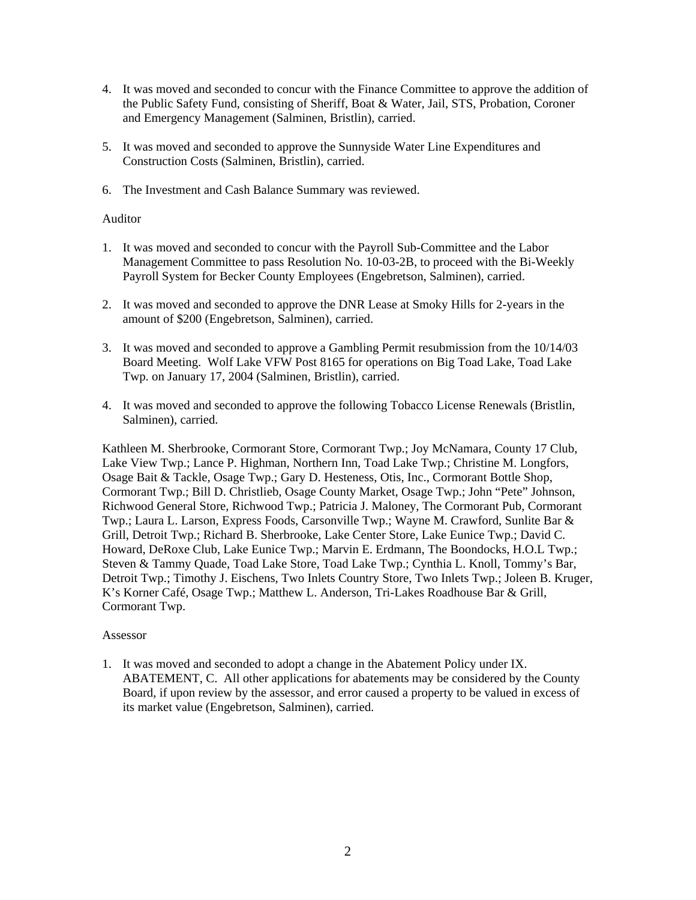- 4. It was moved and seconded to concur with the Finance Committee to approve the addition of the Public Safety Fund, consisting of Sheriff, Boat & Water, Jail, STS, Probation, Coroner and Emergency Management (Salminen, Bristlin), carried.
- 5. It was moved and seconded to approve the Sunnyside Water Line Expenditures and Construction Costs (Salminen, Bristlin), carried.
- 6. The Investment and Cash Balance Summary was reviewed.

## Auditor

- 1. It was moved and seconded to concur with the Payroll Sub-Committee and the Labor Management Committee to pass Resolution No. 10-03-2B, to proceed with the Bi-Weekly Payroll System for Becker County Employees (Engebretson, Salminen), carried.
- 2. It was moved and seconded to approve the DNR Lease at Smoky Hills for 2-years in the amount of \$200 (Engebretson, Salminen), carried.
- 3. It was moved and seconded to approve a Gambling Permit resubmission from the 10/14/03 Board Meeting. Wolf Lake VFW Post 8165 for operations on Big Toad Lake, Toad Lake Twp. on January 17, 2004 (Salminen, Bristlin), carried.
- 4. It was moved and seconded to approve the following Tobacco License Renewals (Bristlin, Salminen), carried.

Kathleen M. Sherbrooke, Cormorant Store, Cormorant Twp.; Joy McNamara, County 17 Club, Lake View Twp.; Lance P. Highman, Northern Inn, Toad Lake Twp.; Christine M. Longfors, Osage Bait & Tackle, Osage Twp.; Gary D. Hesteness, Otis, Inc., Cormorant Bottle Shop, Cormorant Twp.; Bill D. Christlieb, Osage County Market, Osage Twp.; John "Pete" Johnson, Richwood General Store, Richwood Twp.; Patricia J. Maloney, The Cormorant Pub, Cormorant Twp.; Laura L. Larson, Express Foods, Carsonville Twp.; Wayne M. Crawford, Sunlite Bar & Grill, Detroit Twp.; Richard B. Sherbrooke, Lake Center Store, Lake Eunice Twp.; David C. Howard, DeRoxe Club, Lake Eunice Twp.; Marvin E. Erdmann, The Boondocks, H.O.L Twp.; Steven & Tammy Quade, Toad Lake Store, Toad Lake Twp.; Cynthia L. Knoll, Tommy's Bar, Detroit Twp.; Timothy J. Eischens, Two Inlets Country Store, Two Inlets Twp.; Joleen B. Kruger, K's Korner Café, Osage Twp.; Matthew L. Anderson, Tri-Lakes Roadhouse Bar & Grill, Cormorant Twp.

#### Assessor

1. It was moved and seconded to adopt a change in the Abatement Policy under IX. ABATEMENT, C. All other applications for abatements may be considered by the County Board, if upon review by the assessor, and error caused a property to be valued in excess of its market value (Engebretson, Salminen), carried.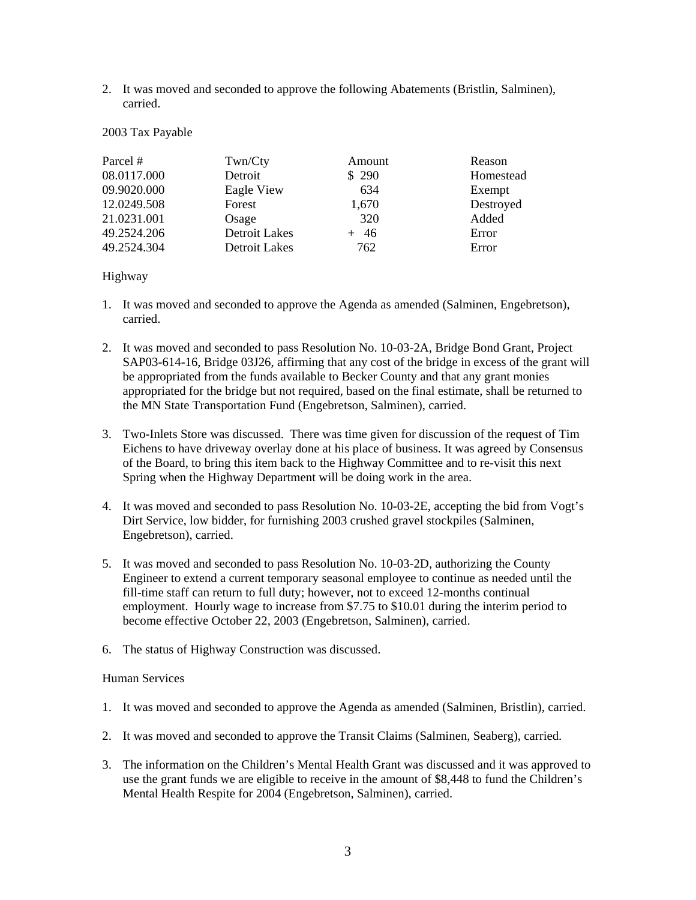2. It was moved and seconded to approve the following Abatements (Bristlin, Salminen), carried.

#### 2003 Tax Payable

| Parcel #    | Twn/Cty              | Amount | Reason    |
|-------------|----------------------|--------|-----------|
| 08.0117.000 | Detroit              | \$290  | Homestead |
| 09.9020.000 | Eagle View           | 634    | Exempt    |
| 12.0249.508 | Forest               | 1,670  | Destroyed |
| 21.0231.001 | Osage                | 320    | Added     |
| 49.2524.206 | <b>Detroit Lakes</b> | $+46$  | Error     |
| 49.2524.304 | <b>Detroit Lakes</b> | 762    | Error     |

Highway

- 1. It was moved and seconded to approve the Agenda as amended (Salminen, Engebretson), carried.
- 2. It was moved and seconded to pass Resolution No. 10-03-2A, Bridge Bond Grant, Project SAP03-614-16, Bridge 03J26, affirming that any cost of the bridge in excess of the grant will be appropriated from the funds available to Becker County and that any grant monies appropriated for the bridge but not required, based on the final estimate, shall be returned to the MN State Transportation Fund (Engebretson, Salminen), carried.
- 3. Two-Inlets Store was discussed. There was time given for discussion of the request of Tim Eichens to have driveway overlay done at his place of business. It was agreed by Consensus of the Board, to bring this item back to the Highway Committee and to re-visit this next Spring when the Highway Department will be doing work in the area.
- 4. It was moved and seconded to pass Resolution No. 10-03-2E, accepting the bid from Vogt's Dirt Service, low bidder, for furnishing 2003 crushed gravel stockpiles (Salminen, Engebretson), carried.
- 5. It was moved and seconded to pass Resolution No. 10-03-2D, authorizing the County Engineer to extend a current temporary seasonal employee to continue as needed until the fill-time staff can return to full duty; however, not to exceed 12-months continual employment. Hourly wage to increase from \$7.75 to \$10.01 during the interim period to become effective October 22, 2003 (Engebretson, Salminen), carried.
- 6. The status of Highway Construction was discussed.

# Human Services

- 1. It was moved and seconded to approve the Agenda as amended (Salminen, Bristlin), carried.
- 2. It was moved and seconded to approve the Transit Claims (Salminen, Seaberg), carried.
- 3. The information on the Children's Mental Health Grant was discussed and it was approved to use the grant funds we are eligible to receive in the amount of \$8,448 to fund the Children's Mental Health Respite for 2004 (Engebretson, Salminen), carried.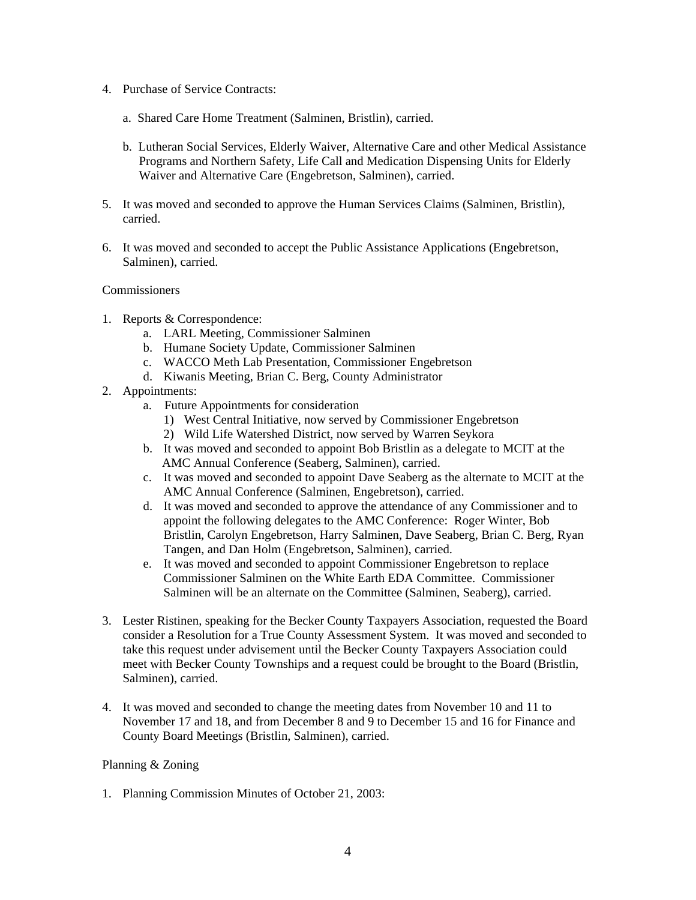- 4. Purchase of Service Contracts:
	- a. Shared Care Home Treatment (Salminen, Bristlin), carried.
	- b. Lutheran Social Services, Elderly Waiver, Alternative Care and other Medical Assistance Programs and Northern Safety, Life Call and Medication Dispensing Units for Elderly Waiver and Alternative Care (Engebretson, Salminen), carried.
- 5. It was moved and seconded to approve the Human Services Claims (Salminen, Bristlin), carried.
- 6. It was moved and seconded to accept the Public Assistance Applications (Engebretson, Salminen), carried.

### Commissioners

- 1. Reports & Correspondence:
	- a. LARL Meeting, Commissioner Salminen
	- b. Humane Society Update, Commissioner Salminen
	- c. WACCO Meth Lab Presentation, Commissioner Engebretson
	- d. Kiwanis Meeting, Brian C. Berg, County Administrator
- 2. Appointments:
	- a. Future Appointments for consideration
		- 1) West Central Initiative, now served by Commissioner Engebretson
		- 2) Wild Life Watershed District, now served by Warren Seykora
	- b. It was moved and seconded to appoint Bob Bristlin as a delegate to MCIT at the AMC Annual Conference (Seaberg, Salminen), carried.
	- c. It was moved and seconded to appoint Dave Seaberg as the alternate to MCIT at the AMC Annual Conference (Salminen, Engebretson), carried.
	- d. It was moved and seconded to approve the attendance of any Commissioner and to appoint the following delegates to the AMC Conference: Roger Winter, Bob Bristlin, Carolyn Engebretson, Harry Salminen, Dave Seaberg, Brian C. Berg, Ryan Tangen, and Dan Holm (Engebretson, Salminen), carried.
	- e. It was moved and seconded to appoint Commissioner Engebretson to replace Commissioner Salminen on the White Earth EDA Committee. Commissioner Salminen will be an alternate on the Committee (Salminen, Seaberg), carried.
- 3. Lester Ristinen, speaking for the Becker County Taxpayers Association, requested the Board consider a Resolution for a True County Assessment System. It was moved and seconded to take this request under advisement until the Becker County Taxpayers Association could meet with Becker County Townships and a request could be brought to the Board (Bristlin, Salminen), carried.
- 4. It was moved and seconded to change the meeting dates from November 10 and 11 to November 17 and 18, and from December 8 and 9 to December 15 and 16 for Finance and County Board Meetings (Bristlin, Salminen), carried.

#### Planning & Zoning

1. Planning Commission Minutes of October 21, 2003: